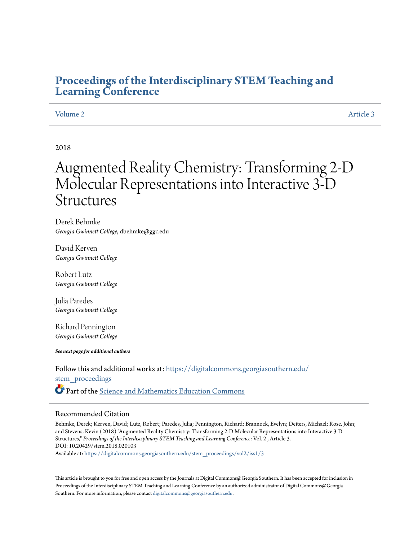## **[Proceedings of the Interdisciplinary STEM Teaching and](https://digitalcommons.georgiasouthern.edu/stem_proceedings?utm_source=digitalcommons.georgiasouthern.edu%2Fstem_proceedings%2Fvol2%2Fiss1%2F3&utm_medium=PDF&utm_campaign=PDFCoverPages) [Learning Conference](https://digitalcommons.georgiasouthern.edu/stem_proceedings?utm_source=digitalcommons.georgiasouthern.edu%2Fstem_proceedings%2Fvol2%2Fiss1%2F3&utm_medium=PDF&utm_campaign=PDFCoverPages)**

## [Volume 2](https://digitalcommons.georgiasouthern.edu/stem_proceedings/vol2?utm_source=digitalcommons.georgiasouthern.edu%2Fstem_proceedings%2Fvol2%2Fiss1%2F3&utm_medium=PDF&utm_campaign=PDFCoverPages) [Article 3](https://digitalcommons.georgiasouthern.edu/stem_proceedings/vol2/iss1/3?utm_source=digitalcommons.georgiasouthern.edu%2Fstem_proceedings%2Fvol2%2Fiss1%2F3&utm_medium=PDF&utm_campaign=PDFCoverPages)

## 2018

# Augmented Reality Chemistry: Transforming 2-D Molecular Representations into Interactive 3-D **Structures**

Derek Behmke *Georgia Gwinnett College*, dbehmke@ggc.edu

David Kerven *Georgia Gwinnett College*

Robert Lutz *Georgia Gwinnett College*

Julia Paredes *Georgia Gwinnett College*

Richard Pennington *Georgia Gwinnett College*

*See next page for additional authors*

Follow this and additional works at: [https://digitalcommons.georgiasouthern.edu/](https://digitalcommons.georgiasouthern.edu/stem_proceedings?utm_source=digitalcommons.georgiasouthern.edu%2Fstem_proceedings%2Fvol2%2Fiss1%2F3&utm_medium=PDF&utm_campaign=PDFCoverPages) [stem\\_proceedings](https://digitalcommons.georgiasouthern.edu/stem_proceedings?utm_source=digitalcommons.georgiasouthern.edu%2Fstem_proceedings%2Fvol2%2Fiss1%2F3&utm_medium=PDF&utm_campaign=PDFCoverPages) Part of the [Science and Mathematics Education Commons](http://network.bepress.com/hgg/discipline/800?utm_source=digitalcommons.georgiasouthern.edu%2Fstem_proceedings%2Fvol2%2Fiss1%2F3&utm_medium=PDF&utm_campaign=PDFCoverPages)

#### Recommended Citation

Behmke, Derek; Kerven, David; Lutz, Robert; Paredes, Julia; Pennington, Richard; Brannock, Evelyn; Deiters, Michael; Rose, John; and Stevens, Kevin (2018) "Augmented Reality Chemistry: Transforming 2-D Molecular Representations into Interactive 3-D Structures," *Proceedings of the Interdisciplinary STEM Teaching and Learning Conference*: Vol. 2 , Article 3. DOI: 10.20429/stem.2018.020103

Available at: [https://digitalcommons.georgiasouthern.edu/stem\\_proceedings/vol2/iss1/3](https://digitalcommons.georgiasouthern.edu/stem_proceedings/vol2/iss1/3?utm_source=digitalcommons.georgiasouthern.edu%2Fstem_proceedings%2Fvol2%2Fiss1%2F3&utm_medium=PDF&utm_campaign=PDFCoverPages)

This article is brought to you for free and open access by the Journals at Digital Commons@Georgia Southern. It has been accepted for inclusion in Proceedings of the Interdisciplinary STEM Teaching and Learning Conference by an authorized administrator of Digital Commons@Georgia Southern. For more information, please contact [digitalcommons@georgiasouthern.edu.](mailto:digitalcommons@georgiasouthern.edu)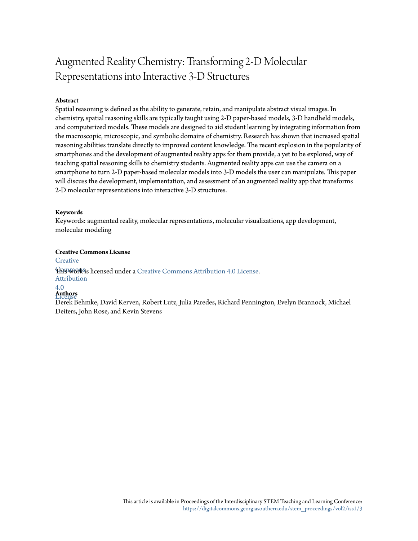## Augmented Reality Chemistry: Transforming 2-D Molecular Representations into Interactive 3-D Structures

## **Abstract**

Spatial reasoning is defined as the ability to generate, retain, and manipulate abstract visual images. In chemistry, spatial reasoning skills are typically taught using 2-D paper-based models, 3-D handheld models, and computerized models. These models are designed to aid student learning by integrating information from the macroscopic, microscopic, and symbolic domains of chemistry. Research has shown that increased spatial reasoning abilities translate directly to improved content knowledge. The recent explosion in the popularity of smartphones and the development of augmented reality apps for them provide, a yet to be explored, way of teaching spatial reasoning skills to chemistry students. Augmented reality apps can use the camera on a smartphone to turn 2-D paper-based molecular models into 3-D models the user can manipulate. This paper will discuss the development, implementation, and assessment of an augmented reality app that transforms 2-D molecular representations into interactive 3-D structures.

### **Keywords**

Keywords: augmented reality, molecular representations, molecular visualizations, app development, molecular modeling

### **Creative Commons License**

**[Creative](http://creativecommons.org/licenses/by/4.0/)** 

**This work is licensed under a** [Creative Commons Attribution 4.0 License.](http://creativecommons.org/licenses/by/4.0/) Attribution 4.0

## License **Authors**

Derek Behmke, David Kerven, Robert Lutz, Julia Paredes, Richard Pennington, Evelyn Brannock, Michael Deiters, John Rose, and Kevin Stevens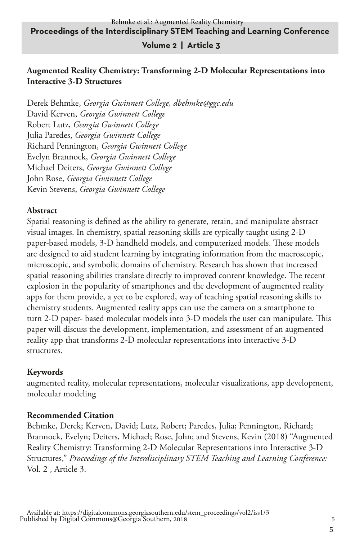### **Volume 2 | Article 3**

### **Augmented Reality Chemistry: Transforming 2-D Molecular Representations into Interactive 3-D Structures**

Derek Behmke, *Georgia Gwinnett College, dbehmke@ggc.edu* David Kerven, *Georgia Gwinnett College* Robert Lutz, *Georgia Gwinnett College* Julia Paredes, *Georgia Gwinnett College* Richard Pennington, *Georgia Gwinnett College* Evelyn Brannock, *Georgia Gwinnett College* Michael Deiters, *Georgia Gwinnett College* John Rose, *Georgia Gwinnett College* Kevin Stevens, *Georgia Gwinnett College*

#### **Abstract**

Spatial reasoning is defined as the ability to generate, retain, and manipulate abstract visual images. In chemistry, spatial reasoning skills are typically taught using 2-D paper-based models, 3-D handheld models, and computerized models. These models are designed to aid student learning by integrating information from the macroscopic, microscopic, and symbolic domains of chemistry. Research has shown that increased spatial reasoning abilities translate directly to improved content knowledge. The recent explosion in the popularity of smartphones and the development of augmented reality apps for them provide, a yet to be explored, way of teaching spatial reasoning skills to chemistry students. Augmented reality apps can use the camera on a smartphone to turn 2-D paper- based molecular models into 3-D models the user can manipulate. This paper will discuss the development, implementation, and assessment of an augmented reality app that transforms 2-D molecular representations into interactive 3-D structures.

#### **Keywords**

augmented reality, molecular representations, molecular visualizations, app development, molecular modeling

#### **Recommended Citation**

Behmke, Derek; Kerven, David; Lutz, Robert; Paredes, Julia; Pennington, Richard; Brannock, Evelyn; Deiters, Michael; Rose, John; and Stevens, Kevin (2018) "Augmented Reality Chemistry: Transforming 2-D Molecular Representations into Interactive 3-D Structures," *Proceedings of the Interdisciplinary STEM Teaching and Learning Conference:* Vol. 2 , Article 3.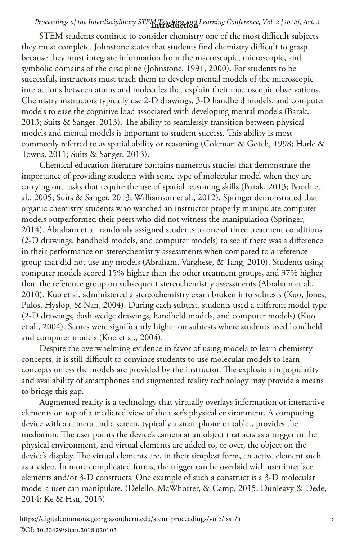## **Introduction** *Proceedings of the Interdisciplinary STEM Teaching and Learning Conference, Vol. 2 [2018], Art. 3*

STEM students continue to consider chemistry one of the most difficult subjects they must complete. Johnstone states that students find chemistry difficult to grasp because they must integrate information from the macroscopic, microscopic, and symbolic domains of the discipline (Johnstone, 1991, 2000). For students to be successful, instructors must teach them to develop mental models of the microscopic interactions between atoms and molecules that explain their macroscopic observations. Chemistry instructors typically use 2-D drawings, 3-D handheld models, and computer models to ease the cognitive load associated with developing mental models (Barak, 2013; Suits & Sanger, 2013). The ability to seamlessly transition between physical models and mental models is important to student success. This ability is most commonly referred to as spatial ability or reasoning (Coleman & Gotch, 1998; Harle & Towns, 2011; Suits & Sanger, 2013).

Chemical education literature contains numerous studies that demonstrate the importance of providing students with some type of molecular model when they are carrying out tasks that require the use of spatial reasoning skills (Barak, 2013; Booth et al., 2005; Suits & Sanger, 2013; Williamson et al., 2012). Springer demonstrated that organic chemistry students who watched an instructor properly manipulate computer models outperformed their peers who did not witness the manipulation (Springer, 2014). Abraham et al. randomly assigned students to one of three treatment conditions (2-D drawings, handheld models, and computer models) to see if there was a difference in their performance on stereochemistry assessments when compared to a reference group that did not use any models (Abraham, Varghese, & Tang, 2010). Students using computer models scored 15% higher than the other treatment groups, and 37% higher than the reference group on subsequent stereochemistry assessments (Abraham et al., 2010). Kuo et al. administered a stereochemistry exam broken into subtests (Kuo, Jones, Pulos, Hyslop, & Nan, 2004). During each subtest, students used a different model type (2-D drawings, dash wedge drawings, handheld models, and computer models) (Kuo et al., 2004). Scores were significantly higher on subtests where students used handheld and computer models (Kuo et al., 2004).

Despite the overwhelming evidence in favor of using models to learn chemistry concepts, it is still difficult to convince students to use molecular models to learn concepts unless the models are provided by the instructor. The explosion in popularity and availability of smartphones and augmented reality technology may provide a means to bridge this gap.

Augmented reality is a technology that virtually overlays information or interactive elements on top of a mediated view of the user's physical environment. A computing device with a camera and a screen, typically a smartphone or tablet, provides the mediation. The user points the device's camera at an object that acts as a trigger in the physical environment, and virtual elements are added to, or over, the object on the device's display. The virtual elements are, in their simplest form, an active element such as a video. In more complicated forms, the trigger can be overlaid with user interface elements and/or 3-D constructs. One example of such a construct is a 3-D molecular model a user can manipulate. (Delello, McWhorter, & Camp, 2015; Dunleavy & Dede, 2014; Ke & Hsu, 2015)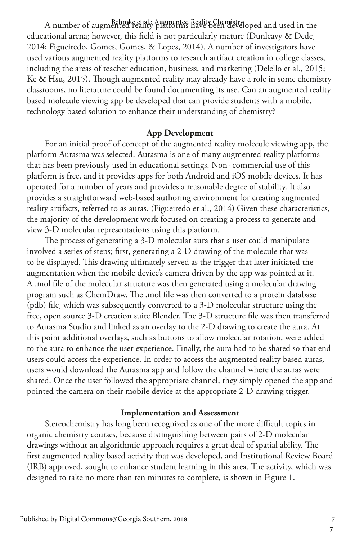A number of augmented reality Augmented Reality Chemistraloped and used in the educational arena; however, this field is not particularly mature (Dunleavy & Dede, 2014; Figueiredo, Gomes, Gomes, & Lopes, 2014). A number of investigators have used various augmented reality platforms to research artifact creation in college classes, including the areas of teacher education, business, and marketing (Delello et al., 2015; Ke & Hsu, 2015). Though augmented reality may already have a role in some chemistry classrooms, no literature could be found documenting its use. Can an augmented reality based molecule viewing app be developed that can provide students with a mobile, technology based solution to enhance their understanding of chemistry?

#### **App Development**

For an initial proof of concept of the augmented reality molecule viewing app, the platform Aurasma was selected. Aurasma is one of many augmented reality platforms that has been previously used in educational settings. Non- commercial use of this platform is free, and it provides apps for both Android and iOS mobile devices. It has operated for a number of years and provides a reasonable degree of stability. It also provides a straightforward web-based authoring environment for creating augmented reality artifacts, referred to as auras. (Figueiredo et al., 2014) Given these characteristics, the majority of the development work focused on creating a process to generate and view 3-D molecular representations using this platform.

The process of generating a 3-D molecular aura that a user could manipulate involved a series of steps; first, generating a 2-D drawing of the molecule that was to be displayed. This drawing ultimately served as the trigger that later initiated the augmentation when the mobile device's camera driven by the app was pointed at it. A .mol file of the molecular structure was then generated using a molecular drawing program such as ChemDraw. The .mol file was then converted to a protein database (pdb) file, which was subsequently converted to a 3-D molecular structure using the free, open source 3-D creation suite Blender. The 3-D structure file was then transferred to Aurasma Studio and linked as an overlay to the 2-D drawing to create the aura. At this point additional overlays, such as buttons to allow molecular rotation, were added to the aura to enhance the user experience. Finally, the aura had to be shared so that end users could access the experience. In order to access the augmented reality based auras, users would download the Aurasma app and follow the channel where the auras were shared. Once the user followed the appropriate channel, they simply opened the app and pointed the camera on their mobile device at the appropriate 2-D drawing trigger.

#### **Implementation and Assessment**

Stereochemistry has long been recognized as one of the more difficult topics in organic chemistry courses, because distinguishing between pairs of 2-D molecular drawings without an algorithmic approach requires a great deal of spatial ability. The first augmented reality based activity that was developed, and Institutional Review Board (IRB) approved, sought to enhance student learning in this area. The activity, which was designed to take no more than ten minutes to complete, is shown in Figure 1.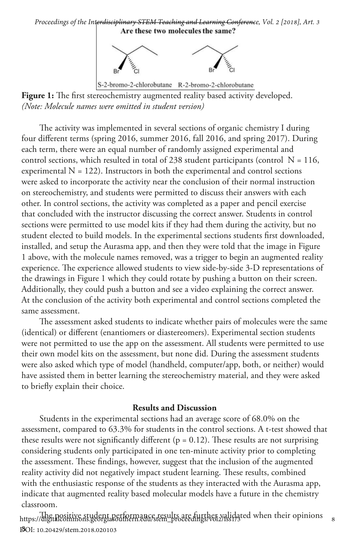## *Proceedings of the Interdisciplinary STEM Teaching and Learning Conference, Vol. 2 [2018], Art. 3*<br>**Are these two molecules the same?**



Figure 1: The first stereochemistry augmented reality based activity developed. *(Note: Molecule names were omitted in student version)*

The activity was implemented in several sections of organic chemistry I during four different terms (spring 2016, summer 2016, fall 2016, and spring 2017). During each term, there were an equal number of randomly assigned experimental and control sections, which resulted in total of 238 student participants (control  $N = 116$ , experimental  $N = 122$ ). Instructors in both the experimental and control sections were asked to incorporate the activity near the conclusion of their normal instruction on stereochemistry, and students were permitted to discuss their answers with each other. In control sections, the activity was completed as a paper and pencil exercise that concluded with the instructor discussing the correct answer. Students in control sections were permitted to use model kits if they had them during the activity, but no student elected to build models. In the experimental sections students first downloaded, installed, and setup the Aurasma app, and then they were told that the image in Figure 1 above, with the molecule names removed, was a trigger to begin an augmented reality experience. The experience allowed students to view side-by-side 3-D representations of the drawings in Figure 1 which they could rotate by pushing a button on their screen. Additionally, they could push a button and see a video explaining the correct answer. At the conclusion of the activity both experimental and control sections completed the same assessment.

The assessment asked students to indicate whether pairs of molecules were the same (identical) or different (enantiomers or diastereomers). Experimental section students were not permitted to use the app on the assessment. All students were permitted to use their own model kits on the assessment, but none did. During the assessment students were also asked which type of model (handheld, computer/app, both, or neither) would have assisted them in better learning the stereochemistry material, and they were asked to briefly explain their choice.

#### **Results and Discussion**

Students in the experimental sections had an average score of 68.0% on the assessment, compared to 63.3% for students in the control sections. A t-test showed that these results were not significantly different ( $p = 0.12$ ). These results are not surprising considering students only participated in one ten-minute activity prior to completing the assessment. These findings, however, suggest that the inclusion of the augmented reality activity did not negatively impact student learning. These results, combined with the enthusiastic response of the students as they interacted with the Aurasma app, indicate that augmented reality based molecular models have a future in the chemistry classroom.

8 DOI: 10.20429/stem.2018.020103https://digitalositive student performance results are further validated when their opinions a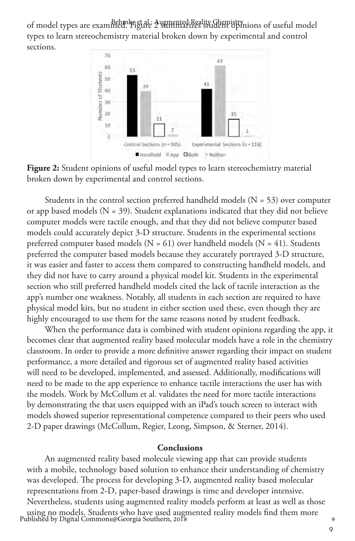of model types are examined. Figure 2 sumented Reality Ghemistry, ions of useful model types to learn stereochemistry material broken down by experimental and control sections.



**Figure 2:** Student opinions of useful model types to learn stereochemistry material broken down by experimental and control sections.

Students in the control section preferred handheld models  $(N = 53)$  over computer or app based models  $(N = 39)$ . Student explanations indicated that they did not believe computer models were tactile enough, and that they did not believe computer based models could accurately depict 3-D structure. Students in the experimental sections preferred computer based models ( $N = 61$ ) over handheld models ( $N = 41$ ). Students preferred the computer based models because they accurately portrayed 3-D structure, it was easier and faster to access them compared to constructing handheld models, and they did not have to carry around a physical model kit. Students in the experimental section who still preferred handheld models cited the lack of tactile interaction as the app's number one weakness. Notably, all students in each section are required to have physical model kits, but no student in either section used these, even though they are highly encouraged to use them for the same reasons noted by student feedback.

When the performance data is combined with student opinions regarding the app, it becomes clear that augmented reality based molecular models have a role in the chemistry classroom. In order to provide a more definitive answer regarding their impact on student performance, a more detailed and rigorous set of augmented reality based activities will need to be developed, implemented, and assessed. Additionally, modifications will need to be made to the app experience to enhance tactile interactions the user has with the models. Work by McCollum et al. validates the need for more tactile interactions by demonstrating the that users equipped with an iPad's touch screen to interact with models showed superior representational competence compared to their peers who used 2-D paper drawings (McCollum, Regier, Leong, Simpson, & Sterner, 2014).

#### **Conclusions**

An augmented reality based molecule viewing app that can provide students with a mobile, technology based solution to enhance their understanding of chemistry was developed. The process for developing 3-D, augmented reality based molecular representations from 2-D, paper-based drawings is time and developer intensive. Nevertheless, students using augmented reality models perform at least as well as those using no models. Students who have used augmented reality models find them more <sup>9</sup> Published by Digital Commons@Georgia Southern, 2018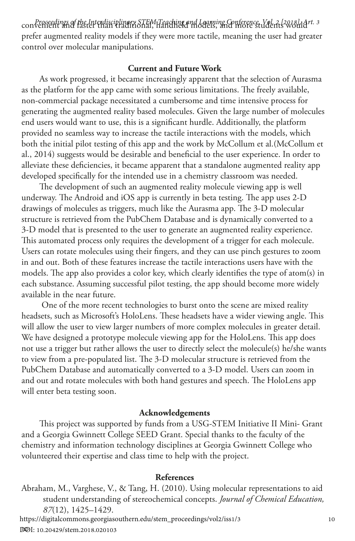convenient and faster than traditional, handheld models, and more students would *Proceedings of the Interdisciplinary STEM Teaching and Learning Conference, Vol. 2 [2018], Art. 3* prefer augmented reality models if they were more tactile, meaning the user had greater control over molecular manipulations.

#### **Current and Future Work**

As work progressed, it became increasingly apparent that the selection of Aurasma as the platform for the app came with some serious limitations. The freely available, non-commercial package necessitated a cumbersome and time intensive process for generating the augmented reality based molecules. Given the large number of molecules end users would want to use, this is a significant hurdle. Additionally, the platform provided no seamless way to increase the tactile interactions with the models, which both the initial pilot testing of this app and the work by McCollum et al.(McCollum et al., 2014) suggests would be desirable and beneficial to the user experience. In order to alleviate these deficiencies, it became apparent that a standalone augmented reality app developed specifically for the intended use in a chemistry classroom was needed.

The development of such an augmented reality molecule viewing app is well underway. The Android and iOS app is currently in beta testing. The app uses 2-D drawings of molecules as triggers, much like the Aurasma app. The 3-D molecular structure is retrieved from the PubChem Database and is dynamically converted to a 3-D model that is presented to the user to generate an augmented reality experience. This automated process only requires the development of a trigger for each molecule. Users can rotate molecules using their fingers, and they can use pinch gestures to zoom in and out. Both of these features increase the tactile interactions users have with the models. The app also provides a color key, which clearly identifies the type of atom(s) in each substance. Assuming successful pilot testing, the app should become more widely available in the near future.

 One of the more recent technologies to burst onto the scene are mixed reality headsets, such as Microsoft's HoloLens. These headsets have a wider viewing angle. This will allow the user to view larger numbers of more complex molecules in greater detail. We have designed a prototype molecule viewing app for the HoloLens. This app does not use a trigger but rather allows the user to directly select the molecule(s) he/she wants to view from a pre-populated list. The 3-D molecular structure is retrieved from the PubChem Database and automatically converted to a 3-D model. Users can zoom in and out and rotate molecules with both hand gestures and speech. The HoloLens app will enter beta testing soon.

#### **Acknowledgements**

This project was supported by funds from a USG-STEM Initiative II Mini- Grant and a Georgia Gwinnett College SEED Grant. Special thanks to the faculty of the chemistry and information technology disciplines at Georgia Gwinnett College who volunteered their expertise and class time to help with the project.

#### **References**

Abraham, M., Varghese, V., & Tang, H. (2010). Using molecular representations to aid student understanding of stereochemical concepts. *Journal of Chemical Education, 87*(12), 1425–1429.<br>https://digitalcommons.georgiasouthern.edu/stem\_proceedings/vol2/iss1/3 10